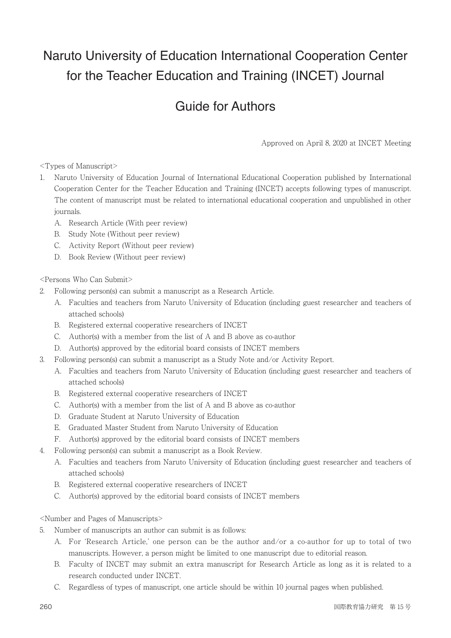## Naruto University of Education International Cooperation Center for the Teacher Education and Training (INCET) Journal

## Guide for Authors

Approved on April 8, 2020 at INCET Meeting

<Types of Manuscript>

- 1. Naruto University of Education Journal of International Educational Cooperation published by International Cooperation Center for the Teacher Education and Training (INCET) accepts following types of manuscript. The content of manuscript must be related to international educational cooperation and unpublished in other journals.
	- A. Research Article (With peer review)
	- B. Study Note (Without peer review)
	- C. Activity Report (Without peer review)
	- D. Book Review (Without peer review)

<Persons Who Can Submit>

- 2. Following person(s) can submit a manuscript as a Research Article.
	- A. Faculties and teachers from Naruto University of Education (including guest researcher and teachers of attached schools)
	- B. Registered external cooperative researchers of INCET
	- C. Author(s) with a member from the list of A and B above as co-author
	- D. Author(s) approved by the editorial board consists of INCET members
- 3. Following person(s) can submit a manuscript as a Study Note and/or Activity Report.
	- A. Faculties and teachers from Naruto University of Education (including guest researcher and teachers of attached schools)
	- B. Registered external cooperative researchers of INCET
	- C. Author(s) with a member from the list of A and B above as co-author
	- D. Graduate Student at Naruto University of Education
	- E. Graduated Master Student from Naruto University of Education
	- F. Author(s) approved by the editorial board consists of INCET members
- 4. Following person(s) can submit a manuscript as a Book Review.
	- A. Faculties and teachers from Naruto University of Education (including guest researcher and teachers of attached schools)
	- B. Registered external cooperative researchers of INCET
	- C. Author(s) approved by the editorial board consists of INCET members

<Number and Pages of Manuscripts>

- 5. Number of manuscripts an author can submit is as follows:
	- A. For 'Research Article,' one person can be the author and/or a co-author for up to total of two manuscripts. However, a person might be limited to one manuscript due to editorial reason.
	- B. Faculty of INCET may submit an extra manuscript for Research Article as long as it is related to a research conducted under INCET.
	- C. Regardless of types of manuscript, one article should be within 10 journal pages when published.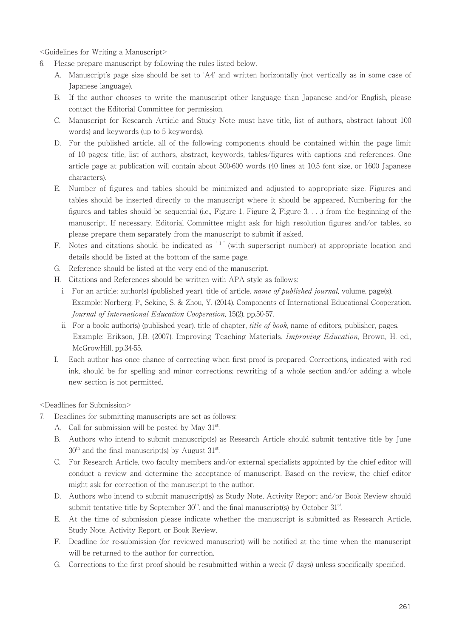<Guidelines for Writing a Manuscript>

- 6. Please prepare manuscript by following the rules listed below.
	- A. Manuscript's page size should be set to 'A4' and written horizontally (not vertically as in some case of Japanese language).
	- B. If the author chooses to write the manuscript other language than Japanese and/or English, please contact the Editorial Committee for permission.
	- C. Manuscript for Research Article and Study Note must have title, list of authors, abstract (about 100 words) and keywords (up to 5 keywords).
	- D. For the published article, all of the following components should be contained within the page limit of 10 pages: title, list of authors, abstract, keywords, tables/figures with captions and references. One article page at publication will contain about 500-600 words (40 lines at 10.5 font size, or 1600 Japanese characters).
	- E. Number of figures and tables should be minimized and adjusted to appropriate size. Figures and tables should be inserted directly to the manuscript where it should be appeared. Numbering for the figures and tables should be sequential (i.e., Figure 1, Figure 2, Figure 3,  $\dots$  ) from the beginning of the manuscript. If necessary, Editorial Committee might ask for high resolution figures and/or tables, so please prepare them separately from the manuscript to submit if asked.
	- F. Notes and citations should be indicated as  $1$  (with superscript number) at appropriate location and details should be listed at the bottom of the same page.
	- G. Reference should be listed at the very end of the manuscript.
	- H. Citations and References should be written with APA style as follows:
		- i. For an article: author(s) (published year). title of article. name of published journal, volume, page(s). Example: Norberg, P., Sekine, S. & Zhou, Y. (2014). Components of International Educational Cooperation. Journal of International Education Cooperation, 15(2), pp.50-57.
		- ii. For a book: author(s) (published year), title of chapter, *title of book*, name of editors, publisher, pages. Example: Erikson, J.B. (2007). Improving Teaching Materials. Improving Education, Brown, H. ed., McGrowHill, pp.34-55.
	- I. Each author has once chance of correcting when first proof is prepared. Corrections, indicated with red ink, should be for spelling and minor corrections; rewriting of a whole section and/or adding a whole new section is not permitted.

<Deadlines for Submission>

- 7. Deadlines for submitting manuscripts are set as follows:
	- A. Call for submission will be posted by May  $31<sup>st</sup>$ .
	- B. Authors who intend to submit manuscript(s) as Research Article should submit tentative title by June  $30<sup>th</sup>$  and the final manuscript(s) by August  $31<sup>st</sup>$ .
	- C. For Research Article, two faculty members and/or external specialists appointed by the chief editor will conduct a review and determine the acceptance of manuscript. Based on the review, the chief editor might ask for correction of the manuscript to the author.
	- D. Authors who intend to submit manuscript(s) as Study Note, Activity Report and/or Book Review should submit tentative title by September  $30<sup>th</sup>$  and the final manuscript(s) by October  $31<sup>st</sup>$ . .
	- E. At the time of submission please indicate whether the manuscript is submitted as Research Article, Study Note, Activity Report, or Book Review.
	- F. Deadline for re-submission (for reviewed manuscript) will be notified at the time when the manuscript will be returned to the author for correction.
	- G. Corrections to the first proof should be resubmitted within a week (7 days) unless specifically specified.